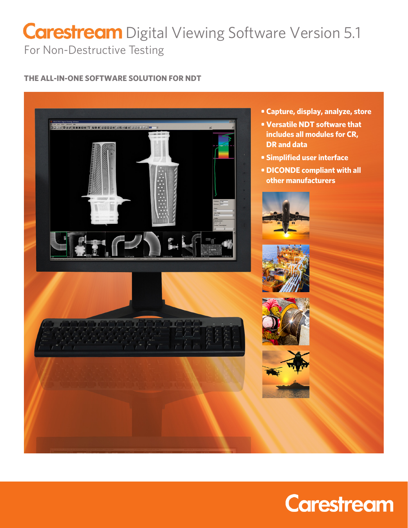# For Non-Destructive Testing **Carestream** Digital Viewing Software Version 5.1

# **THE ALL-IN-ONE SOFTWARE SOLUTION FOR NDT**



- **Capture, display, analyze, store**
- **Versatile NDT software that includes all modules for CR, DR and data**
- **Simplified user interface**
- **DICONDE compliant with all other manufacturers**